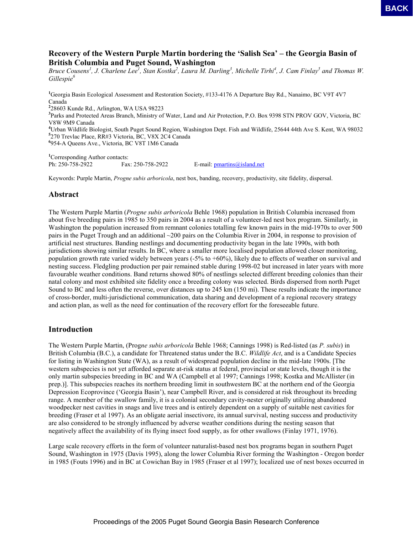## **Recovery of the Western Purple Martin bordering the 'Salish Sea' – the Georgia Basin of British Columbia and Puget Sound, Washington**

*Bruce Cousens<sup>1</sup>, J. Charlene Lee<sup>1</sup>, Stan Kostka<sup>2</sup>, Laura M. Darling<sup>3</sup>, Michelle Tirhi<sup>4</sup>, J. Cam Finlay<sup>5</sup> and Thomas W. Gillespie<sup>6</sup>*

<sup>1</sup>Georgia Basin Ecological Assessment and Restoration Society, #133-4176 A Departure Bay Rd., Nanaimo, BC V9T 4V7 Canada 28603 Kunde Rd., Arlington, WA USA 98223 Parks and Protected Areas Branch, Ministry of Water, Land and Air Protection, P.O. Box 9398 STN PROV GOV, Victoria, BC V8W 9M9 Canada Urban Wildlife Biologist, South Puget Sound Region, Washington Dept. Fish and Wildlife, 25644 44th Ave S. Kent, WA 98032 270 Trevlac Place, RR#3 Victoria, BC, V8X 2C4 Canada 954-A Queens Ave., Victoria, BC V8T 1M6 Canada

<sup>1</sup>Corresponding Author contacts: Ph: 250-758-2922 Fax: 250-758-2922 E-mail: pmartins@island.net

Keywords: Purple Martin, *Progne subis arboricola*, nest box, banding, recovery, productivity, site fidelity, dispersal.

## **Abstract**

The Western Purple Martin (*Progne subis arboricola* Behle 1968) population in British Columbia increased from about five breeding pairs in 1985 to 350 pairs in 2004 as a result of a volunteer-led nest box program. Similarly, in Washington the population increased from remnant colonies totalling few known pairs in the mid-1970s to over 500 pairs in the Puget Trough and an additional ~200 pairs on the Columbia River in 2004, in response to provision of artificial nest structures. Banding nestlings and documenting productivity began in the late 1990s, with both jurisdictions showing similar results. In BC, where a smaller more localised population allowed closer monitoring, population growth rate varied widely between years (-5% to +60%), likely due to effects of weather on survival and nesting success. Fledgling production per pair remained stable during 1998-02 but increased in later years with more favourable weather conditions. Band returns showed 80% of nestlings selected different breeding colonies than their natal colony and most exhibited site fidelity once a breeding colony was selected. Birds dispersed from north Puget Sound to BC and less often the reverse, over distances up to 245 km (150 mi). These results indicate the importance of cross-border, multi-jurisdictional communication, data sharing and development of a regional recovery strategy and action plan, as well as the need for continuation of the recovery effort for the foreseeable future. **PACK**<br> **Proceedings of the 2005 Puget Sound Georgia Basin Basin Scale And Sound Georgia Basin of<br>
D. Charles Let, Nam Earder, Vashington<br>
J. Charles Let, Nam Earder, Vashington<br>
J. Charles Let, Nam Earder, Laures 36. Dav** 

## **Introduction**

The Western Purple Martin, (Prog*ne subis arboricola* Behle 1968; Cannings 1998) is Red-listed (as *P. subis*) in British Columbia (B.C.), a candidate for Threatened status under the B.C. *Wildlife Act*, and is a Candidate Species for listing in Washington State (WA), as a result of widespread population decline in the mid-late 1900s. [The western subspecies is not yet afforded separate at-risk status at federal, provincial or state levels, though it is the only martin subspecies breeding in BC and WA (Campbell et al 1997; Cannings 1998; Kostka and McAllister (in prep.)]. This subspecies reaches its northern breeding limit in southwestern BC at the northern end of the Georgia Depression Ecoprovince ('Georgia Basin'), near Campbell River, and is considered at risk throughout its breeding range. A member of the swallow family, it is a colonial secondary cavity-nester originally utilizing abandoned woodpecker nest cavities in snags and live trees and is entirely dependent on a supply of suitable nest cavities for breeding (Fraser et al 1997). As an obligate aerial insectivore, its annual survival, nesting success and productivity are also considered to be strongly influenced by adverse weather conditions during the nesting season that negatively affect the availability of its flying insect food supply, as for other swallows (Finlay 1971, 1976).

Large scale recovery efforts in the form of volunteer naturalist-based nest box programs began in southern Puget Sound, Washington in 1975 (Davis 1995), along the lower Columbia River forming the Washington - Oregon border in 1985 (Fouts 1996) and in BC at Cowichan Bay in 1985 (Fraser et al 1997); localized use of nest boxes occurred in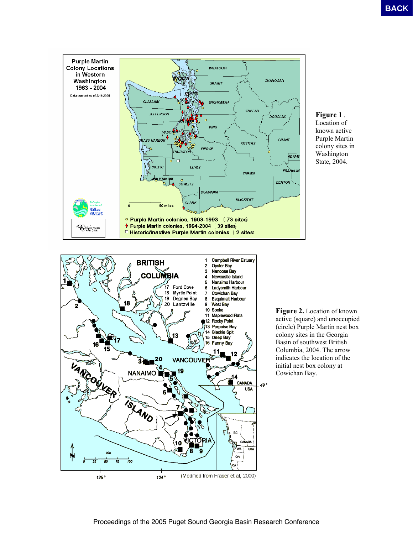

**Figure 1** . Location of known active Purple Martin colony sites in Washington State, 2004.

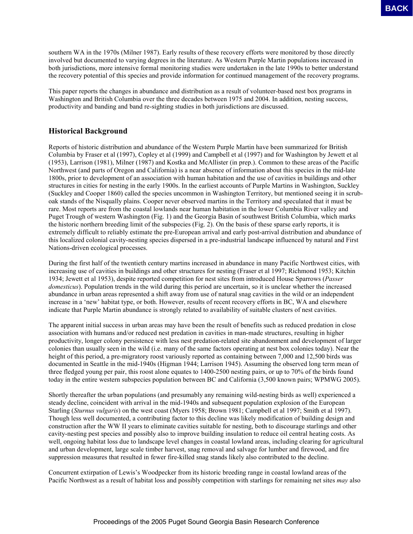southern WA in the 1970s (Milner 1987). Early results of these recovery efforts were monitored by those directly involved but documented to varying degrees in the literature. As Western Purple Martin populations increased in both jurisdictions, more intensive formal monitoring studies were undertaken in the late 1990s to better understand the recovery potential of this species and provide information for continued management of the recovery programs.

This paper reports the changes in abundance and distribution as a result of volunteer-based nest box programs in Washington and British Columbia over the three decades between 1975 and 2004. In addition, nesting success, productivity and banding and band re-sighting studies in both jurisdictions are discussed.

# **Historical Background**

Reports of historic distribution and abundance of the Western Purple Martin have been summarized for British Columbia by Fraser et al (1997), Copley et al (1999) and Campbell et al (1997) and for Washington by Jewett et al (1953), Larrison (1981), Milner (1987) and Kostka and McAllister (in prep.). Common to these areas of the Pacific Northwest (and parts of Oregon and California) is a near absence of information about this species in the mid-late 1800s, prior to development of an association with human habitation and the use of cavities in buildings and other structures in cities for nesting in the early 1900s. In the earliest accounts of Purple Martins in Washington, Suckley (Suckley and Cooper 1860) called the species uncommon in Washington Territory, but mentioned seeing it in scruboak stands of the Nisqually plains. Cooper never observed martins in the Territory and speculated that it must be rare. Most reports are from the coastal lowlands near human habitation in the lower Columbia River valley and Puget Trough of western Washington (Fig. 1) and the Georgia Basin of southwest British Columbia, which marks the historic northern breeding limit of the subspecies (Fig. 2). On the basis of these sparse early reports, it is extremely difficult to reliably estimate the pre-European arrival and early post-arrival distribution and abundance of this localized colonial cavity-nesting species dispersed in a pre-industrial landscape influenced by natural and First Nations-driven ecological processes. **EXPLAYER CHOICE (FIFT)** Entries and to these converse distinguished in consistent seconds of the sound Basin Research Conference Basin Research Conference Basin Research Conference Basin Research Conference Basin Research

During the first half of the twentieth century martins increased in abundance in many Pacific Northwest cities, with increasing use of cavities in buildings and other structures for nesting (Fraser et al 1997; Richmond 1953; Kitchin 1934; Jewett et al 1953), despite reported competition for nest sites from introduced House Sparrows (*Passer domesticus*). Population trends in the wild during this period are uncertain, so it is unclear whether the increased abundance in urban areas represented a shift away from use of natural snag cavities in the wild or an independent increase in a 'new' habitat type, or both. However, results of recent recovery efforts in BC, WA and elsewhere indicate that Purple Martin abundance is strongly related to availability of suitable clusters of nest cavities.

The apparent initial success in urban areas may have been the result of benefits such as reduced predation in close association with humans and/or reduced nest predation in cavities in man-made structures, resulting in higher productivity, longer colony persistence with less nest predation-related site abandonment and development of larger colonies than usually seen in the wild (i.e. many of the same factors operating at nest box colonies today). Near the height of this period, a pre-migratory roost variously reported as containing between 7,000 and 12,500 birds was documented in Seattle in the mid-1940s (Higman 1944; Larrison 1945). Assuming the observed long term mean of three fledged young per pair, this roost alone equates to 1400-2500 nesting pairs, or up to 70% of the birds found today in the entire western subspecies population between BC and California (3,500 known pairs; WPMWG 2005).

Shortly thereafter the urban populations (and presumably any remaining wild-nesting birds as well) experienced a steady decline, coincident with arrival in the mid-1940s and subsequent population explosion of the European Starling (*Sturnus vulgaris*) on the west coast (Myers 1958; Brown 1981; Campbell et al 1997; Smith et al 1997). Though less well documented, a contributing factor to this decline was likely modification of building design and construction after the WW II years to eliminate cavities suitable for nesting, both to discourage starlings and other cavity-nesting pest species and possibly also to improve building insulation to reduce oil central heating costs. As well, ongoing habitat loss due to landscape level changes in coastal lowland areas, including clearing for agricultural and urban development, large scale timber harvest, snag removal and salvage for lumber and firewood, and fire suppression measures that resulted in fewer fire-killed snag stands likely also contributed to the decline.

Concurrent extirpation of Lewis's Woodpecker from its historic breeding range in coastal lowland areas of the Pacific Northwest as a result of habitat loss and possibly competition with starlings for remaining net sites *may* also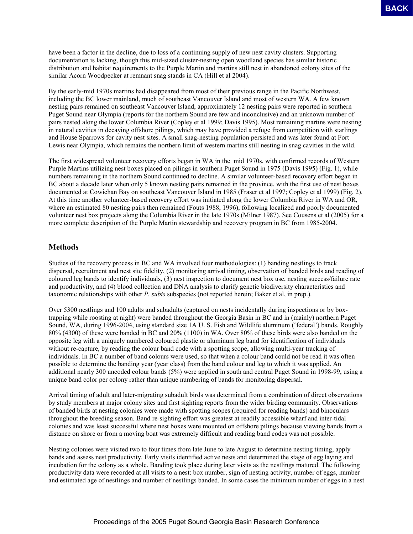have been a factor in the decline, due to loss of a continuing supply of new nest cavity clusters. Supporting documentation is lacking, though this mid-sized cluster-nesting open woodland species has similar historic distribution and habitat requirements to the Purple Martin and martins still nest in abandoned colony sites of the similar Acorn Woodpecker at remnant snag stands in CA (Hill et al 2004).

By the early-mid 1970s martins had disappeared from most of their previous range in the Pacific Northwest, including the BC lower mainland, much of southeast Vancouver Island and most of western WA. A few known nesting pairs remained on southeast Vancouver Island, approximately 12 nesting pairs were reported in southern Puget Sound near Olympia (reports for the northern Sound are few and inconclusive) and an unknown number of pairs nested along the lower Columbia River (Copley et al 1999; Davis 1995). Most remaining martins were nesting in natural cavities in decaying offshore pilings, which may have provided a refuge from competition with starlings and House Sparrows for cavity nest sites. A small snag-nesting population persisted and was later found at Fort Lewis near Olympia, which remains the northern limit of western martins still nesting in snag cavities in the wild.

The first widespread volunteer recovery efforts began in WA in the mid 1970s, with confirmed records of Western Purple Martins utilizing nest boxes placed on pilings in southern Puget Sound in 1975 (Davis 1995) (Fig. 1), while numbers remaining in the northern Sound continued to decline. A similar volunteer-based recovery effort began in BC about a decade later when only 5 known nesting pairs remained in the province, with the first use of nest boxes documented at Cowichan Bay on southeast Vancouver Island in 1985 (Fraser et al 1997; Copley et al 1999) (Fig. 2). At this time another volunteer-based recovery effort was initiated along the lower Columbia River in WA and OR, where an estimated 80 nesting pairs then remained (Fouts 1988, 1996), following localized and poorly documented volunteer nest box projects along the Columbia River in the late 1970s (Milner 1987). See Cousens et al (2005) for a more complete description of the Purple Martin stewardship and recovery program in BC from 1985-2004.

# **Methods**

Studies of the recovery process in BC and WA involved four methodologies: (1) banding nestlings to track dispersal, recruitment and nest site fidelity, (2) monitoring arrival timing, observation of banded birds and reading of coloured leg bands to identify individuals, (3) nest inspection to document nest box use, nesting success/failure rate and productivity, and (4) blood collection and DNA analysis to clarify genetic biodiversity characteristics and taxonomic relationships with other *P. subis* subspecies (not reported herein; Baker et al, in prep.).

Over 5300 nestlings and 100 adults and subadults (captured on nests incidentally during inspections or by boxtrapping while roosting at night) were banded throughout the Georgia Basin in BC and in (mainly) northern Puget Sound, WA, during 1996-2004, using standard size 1A U. S. Fish and Wildlife aluminum ('federal') bands. Roughly 80% (4300) of these were banded in BC and 20% (1100) in WA. Over 80% of these birds were also banded on the opposite leg with a uniquely numbered coloured plastic or aluminum leg band for identification of individuals without re-capture, by reading the colour band code with a spotting scope, allowing multi-year tracking of individuals. In BC a number of band colours were used, so that when a colour band could not be read it was often possible to determine the banding year (year class) from the band colour and leg to which it was applied. An additional nearly 300 uncoded colour bands (5%) were applied in south and central Puget Sound in 1998-99, using a unique band color per colony rather than unique numbering of bands for monitoring dispersal. **EXACTE** THE CAUSING CRIST IS NOT A COMINIBIDATE SURFACT CONSISTENCT AND AN INTERFERENCE INTERFERENCE INTO A CONFERENCE INTERFERENCE INTERFERENCE INTERFERENCE INTERFERENCE INTERFERENCE INTERFERENCE INTERFERENCE INTERFEREN

Arrival timing of adult and later-migrating subadult birds was determined from a combination of direct observations by study members at major colony sites and first sighting reports from the wider birding community. Observations of banded birds at nesting colonies were made with spotting scopes (required for reading bands) and binoculars throughout the breeding season. Band re-sighting effort was greatest at readily accessible wharf and inter-tidal colonies and was least successful where nest boxes were mounted on offshore pilings because viewing bands from a distance on shore or from a moving boat was extremely difficult and reading band codes was not possible.

Nesting colonies were visited two to four times from late June to late August to determine nesting timing, apply bands and assess nest productivity. Early visits identified active nests and determined the stage of egg laying and incubation for the colony as a whole. Banding took place during later visits as the nestlings matured. The following productivity data were recorded at all visits to a nest: box number, sign of nesting activity, number of eggs, number and estimated age of nestlings and number of nestlings banded. In some cases the minimum number of eggs in a nest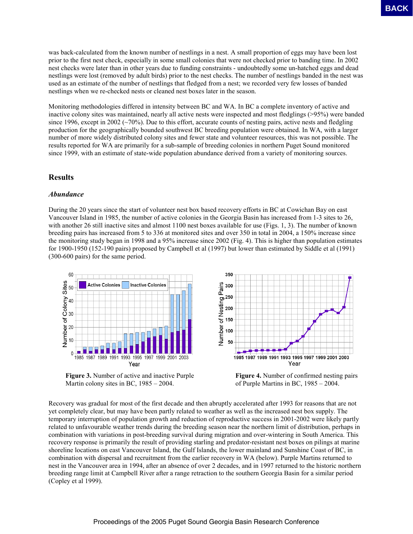was back-calculated from the known number of nestlings in a nest. A small proportion of eggs may have been lost prior to the first nest check, especially in some small colonies that were not checked prior to banding time. In 2002 nest checks were later than in other years due to funding constraints - undoubtedly some un-hatched eggs and dead nestlings were lost (removed by adult birds) prior to the nest checks. The number of nestlings banded in the nest was used as an estimate of the number of nestlings that fledged from a nest; we recorded very few losses of banded nestlings when we re-checked nests or cleaned nest boxes later in the season.

Monitoring methodologies differed in intensity between BC and WA. In BC a complete inventory of active and inactive colony sites was maintained, nearly all active nests were inspected and most fledglings (>95%) were banded since 1996, except in 2002 ( $\sim$ 70%). Due to this effort, accurate counts of nesting pairs, active nests and fledgling production for the geographically bounded southwest BC breeding population were obtained. In WA, with a larger number of more widely distributed colony sites and fewer state and volunteer resources, this was not possible. The results reported for WA are primarily for a sub-sample of breeding colonies in northern Puget Sound monitored since 1999, with an estimate of state-wide population abundance derived from a variety of monitoring sources.

### **Results**

### *Abundance*

During the 20 years since the start of volunteer nest box based recovery efforts in BC at Cowichan Bay on east Vancouver Island in 1985, the number of active colonies in the Georgia Basin has increased from 1-3 sites to 26, with another 26 still inactive sites and almost 1100 nest boxes available for use (Figs. 1, 3). The number of known breeding pairs has increased from 5 to 336 at monitored sites and over 350 in total in 2004, a 150% increase since the monitoring study began in 1998 and a 95% increase since 2002 (Fig. 4). This is higher than population estimates for 1900-1950 (152-190 pairs) proposed by Campbell et al (1997) but lower than estimated by Siddle et al (1991) (300-600 pairs) for the same period.



**Figure 3.** Number of active and inactive Purple Martin colony sites in BC, 1985 – 2004.



**Figure 4.** Number of confirmed nesting pairs of Purple Martins in BC, 1985 – 2004.

Recovery was gradual for most of the first decade and then abruptly accelerated after 1993 for reasons that are not yet completely clear, but may have been partly related to weather as well as the increased nest box supply. The temporary interruption of population growth and reduction of reproductive success in 2001-2002 were likely partly related to unfavourable weather trends during the breeding season near the northern limit of distribution, perhaps in combination with variations in post-breeding survival during migration and over-wintering in South America. This recovery response is primarily the result of providing starling and predator-resistant nest boxes on pilings at marine shoreline locations on east Vancouver Island, the Gulf Islands, the lower mainland and Sunshine Coast of BC, in combination with dispersal and recruitment from the earlier recovery in WA (below). Purple Martins returned to nest in the Vancouver area in 1994, after an absence of over 2 decades, and in 1997 returned to the historic northern breeding range limit at Campbell River after a range retraction to the southern Georgia Basin for a similar period (Copley et al 1999). **PACK**<br>
Solution the lateration control of northings in a northing response of equilibration for the 2005 Puget Sound<br>
Note that the 2005 Puget Sound Georgia Basin Research Conference Basin Research Conference Basin Resea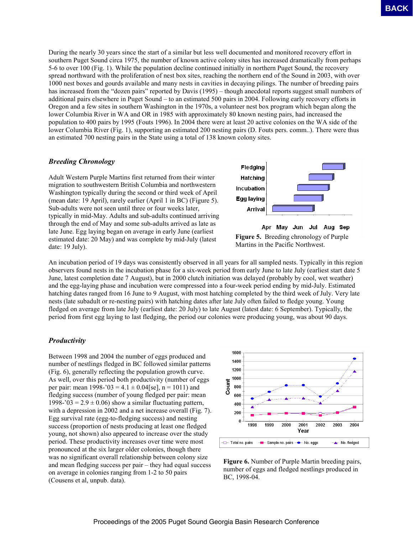During the nearly 30 years since the start of a similar but less well documented and monitored recovery effort in southern Puget Sound circa 1975, the number of known active colony sites has increased dramatically from perhaps 5-6 to over 100 (Fig. 1). While the population decline continued initially in northern Puget Sound, the recovery spread northward with the proliferation of nest box sites, reaching the northern end of the Sound in 2003, with over 1000 nest boxes and gourds available and many nests in cavities in decaying pilings. The number of breeding pairs has increased from the "dozen pairs" reported by Davis (1995) – though anecdotal reports suggest small numbers of additional pairs elsewhere in Puget Sound – to an estimated 500 pairs in 2004. Following early recovery efforts in Oregon and a few sites in southern Washington in the 1970s, a volunteer nest box program which began along the lower Columbia River in WA and OR in 1985 with approximately 80 known nesting pairs, had increased the population to 400 pairs by 1995 (Fouts 1996). In 2004 there were at least 20 active colonies on the WA side of the lower Columbia River (Fig. 1), supporting an estimated 200 nesting pairs (D. Fouts pers. comm..). There were thus an estimated 700 nesting pairs in the State using a total of 138 known colony sites. **EACH was a sincered by statistic statistic function of the section statistic statistic statistic statistic statistic statistic statistic statistic statistic statistic statistic statistic statistic statistic statistic sta** 

#### *Breeding Chronology*

Adult Western Purple Martins first returned from their winter migration to southwestern British Columbia and northwestern Washington typically during the second or third week of April (mean date: 19 April), rarely earlier (April 1 in BC) (Figure 5). Sub-adults were not seen until three or four weeks later, typically in mid-May. Adults and sub-adults continued arriving through the end of May and some sub-adults arrived as late as late June. Egg laying began on average in early June (earliest estimated date: 20 May) and was complete by mid-July (latest date: 19 July).



**Figure 5.** Breeding chronology of Purple

Martins in the Pacific Northwest.

An incubation period of 19 days was consistently observed in all years for all sampled nests. Typically in this region observers found nests in the incubation phase for a six-week period from early June to late July (earliest start date 5 June, latest completion date 7 August), but in 2000 clutch initiation was delayed (probably by cool, wet weather) and the egg-laying phase and incubation were compressed into a four-week period ending by mid-July. Estimated hatching dates ranged from 16 June to 9 August, with most hatching completed by the third week of July. Very late nests (late subadult or re-nesting pairs) with hatching dates after late July often failed to fledge young. Young fledged on average from late July (earliest date: 20 July) to late August (latest date: 6 September). Typically, the period from first egg laying to last fledging, the period our colonies were producing young, was about 90 days.

### *Productivity*

Between 1998 and 2004 the number of eggs produced and number of nestlings fledged in BC followed similar patterns (Fig. 6), generally reflecting the population growth curve. As well, over this period both productivity (number of eggs per pair: mean  $1998 - 03 = 4.1 \pm 0.04$ [se], n = 1011) and fledging success (number of young fledged per pair: mean 1998-'03 =  $2.9 \pm 0.06$ ) show a similar fluctuating pattern, with a depression in 2002 and a net increase overall (Fig. 7). Egg survival rate (egg-to-fledging success) and nesting success (proportion of nests producing at least one fledged young, not shown) also appeared to increase over the study period. These productivity increases over time were most pronounced at the six larger older colonies, though there was no significant overall relationship between colony size and mean fledging success per pair – they had equal success on average in colonies ranging from 1-2 to 50 pairs (Cousens et al, unpub. data).



**Figure 6.** Number of Purple Martin breeding pairs, number of eggs and fledged nestlings produced in BC, 1998-04.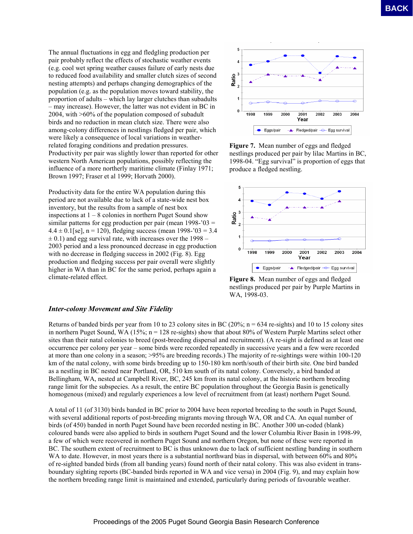The annual fluctuations in egg and fledgling production per pair probably reflect the effects of stochastic weather events (e.g. cool wet spring weather causes failure of early nests due to reduced food availability and smaller clutch sizes of second nesting attempts) and perhaps changing demographics of the population (e.g. as the population moves toward stability, the proportion of adults – which lay larger clutches than subadults – may increase). However, the latter was not evident in BC in 2004, with >60% of the population composed of subadult birds and no reduction in mean clutch size. There were also among-colony differences in nestlings fledged per pair, which were likely a consequence of local variations in weatherrelated foraging conditions and predation pressures. Productivity per pair was slightly lower than reported for other western North American populations, possibly reflecting the influence of a more northerly maritime climate (Finlay 1971; Brown 1997; Fraser et al 1999; Horvath 2000).

Productivity data for the entire WA population during this period are not available due to lack of a state-wide nest box inventory, but the results from a sample of nest box inspections at  $1 - 8$  colonies in northern Puget Sound show similar patterns for egg production per pair (mean  $1998 - 03 =$  $4.4 \pm 0.1$ [se], n = 120), fledging success (mean 1998-'03 = 3.4  $\pm$  0.1) and egg survival rate, with increases over the 1998 – 2003 period and a less pronounced decrease in egg production with no decrease in fledging success in 2002 (Fig. 8). Egg production and fledging success per pair overall were slightly higher in WA than in BC for the same period, perhaps again a climate-related effect.



**Figure 7.** Mean number of eggs and fledged nestlings produced per pair by lilac Martins in BC, 1998-04. "Egg survival" is proportion of eggs that produce a fledged nestling.



**Figure 8.** Mean number of eggs and fledged nestlings produced per pair by Purple Martins in WA, 1998-03.

#### *Inter-colony Movement and Site Fidelity*

Returns of banded birds per year from 10 to 23 colony sites in BC (20%;  $n = 634$  re-sights) and 10 to 15 colony sites in northern Puget Sound, WA (15%;  $n = 128$  re-sights) show that about 80% of Western Purple Martins select other sites than their natal colonies to breed (post-breeding dispersal and recruitment). (A re-sight is defined as at least one occurrence per colony per year – some birds were recorded repeatedly in successive years and a few were recorded at more than one colony in a season; >95% are breeding records.) The majority of re-sightings were within 100-120 km of the natal colony, with some birds breeding up to 150-180 km north/south of their birth site. One bird banded as a nestling in BC nested near Portland, OR, 510 km south of its natal colony. Conversely, a bird banded at Bellingham, WA, nested at Campbell River, BC, 245 km from its natal colony, at the historic northern breeding range limit for the subspecies. As a result, the entire BC population throughout the Georgia Basin is genetically homogenous (mixed) and regularly experiences a low level of recruitment from (at least) northern Puget Sound. **EACH (and the conference interaction of** the state of the 2005 Puget Sound Georgia Basin Research Conference Conference Conference Conference Conference Conference Conference Conference Conference Conference Conference C

A total of 11 (of 3130) birds banded in BC prior to 2004 have been reported breeding to the south in Puget Sound, with several additional reports of post-breeding migrants moving through WA, OR and CA. An equal number of birds (of 450) banded in north Puget Sound have been recorded nesting in BC. Another 300 un-coded (blank) coloured bands were also applied to birds in southern Puget Sound and the lower Columbia River Basin in 1998-99, a few of which were recovered in northern Puget Sound and northern Oregon, but none of these were reported in BC. The southern extent of recruitment to BC is thus unknown due to lack of sufficient nestling banding in southern WA to date. However, in most years there is a substantial northward bias in dispersal, with between 60% and 80% of re-sighted banded birds (from all banding years) found north of their natal colony. This was also evident in transboundary sighting reports (BC-banded birds reported in WA and vice versa) in 2004 (Fig. 9), and may explain how the northern breeding range limit is maintained and extended, particularly during periods of favourable weather.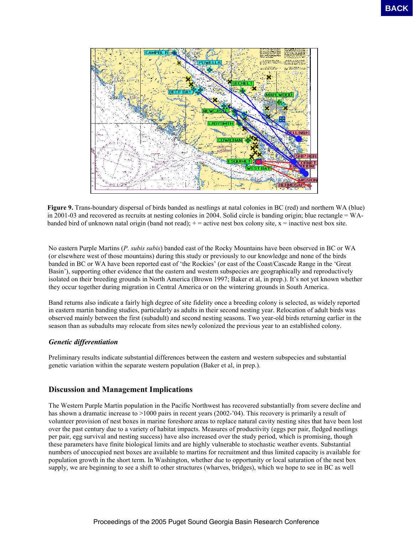

**Figure 9.** Trans-boundary dispersal of birds banded as nestlings at natal colonies in BC (red) and northern WA (blue) in 2001-03 and recovered as recruits at nesting colonies in 2004. Solid circle is banding origin; blue rectangle = WAbanded bird of unknown natal origin (band not read);  $+$  = active nest box colony site,  $x$  = inactive nest box site.

No eastern Purple Martins (*P. subis subis*) banded east of the Rocky Mountains have been observed in BC or WA (or elsewhere west of those mountains) during this study or previously to our knowledge and none of the birds banded in BC or WA have been reported east of 'the Rockies' (or east of the Coast/Cascade Range in the 'Great Basin'), supporting other evidence that the eastern and western subspecies are geographically and reproductively isolated on their breeding grounds in North America (Brown 1997; Baker et al, in prep.). It's not yet known whether they occur together during migration in Central America or on the wintering grounds in South America.

Band returns also indicate a fairly high degree of site fidelity once a breeding colony is selected, as widely reported in eastern martin banding studies, particularly as adults in their second nesting year. Relocation of adult birds was observed mainly between the first (subadult) and second nesting seasons. Two year-old birds returning earlier in the season than as subadults may relocate from sites newly colonized the previous year to an established colony.

### *Genetic differentiation*

Preliminary results indicate substantial differences between the eastern and western subspecies and substantial genetic variation within the separate western population (Baker et al, in prep.).

# **Discussion and Management Implications**

The Western Purple Martin population in the Pacific Northwest has recovered substantially from severe decline and has shown a dramatic increase to >1000 pairs in recent years (2002-'04). This recovery is primarily a result of volunteer provision of nest boxes in marine foreshore areas to replace natural cavity nesting sites that have been lost over the past century due to a variety of habitat impacts. Measures of productivity (eggs per pair, fledged nestlings per pair, egg survival and nesting success) have also increased over the study period, which is promising, though these parameters have finite biological limits and are highly vulnerable to stochastic weather events. Substantial numbers of unoccupied nest boxes are available to martins for recruitment and thus limited capacity is available for population growth in the short term. In Washington, whether due to opportunity or local saturation of the nest box supply, we are beginning to see a shift to other structures (wharves, bridges), which we hope to see in BC as well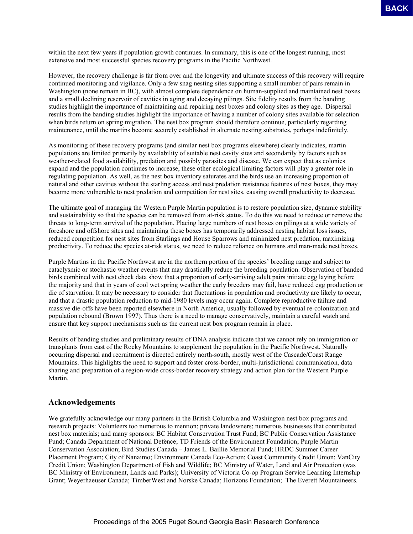within the next few years if population growth continues. In summary, this is one of the longest running, most extensive and most successful species recovery programs in the Pacific Northwest.

However, the recovery challenge is far from over and the longevity and ultimate success of this recovery will require continued monitoring and vigilance. Only a few snag nesting sites supporting a small number of pairs remain in Washington (none remain in BC), with almost complete dependence on human-supplied and maintained nest boxes and a small declining reservoir of cavities in aging and decaying pilings. Site fidelity results from the banding studies highlight the importance of maintaining and repairing nest boxes and colony sites as they age. Dispersal results from the banding studies highlight the importance of having a number of colony sites available for selection when birds return on spring migration. The nest box program should therefore continue, particularly regarding maintenance, until the martins become securely established in alternate nesting substrates, perhaps indefinitely.

As monitoring of these recovery programs (and similar nest box programs elsewhere) clearly indicates, martin populations are limited primarily by availability of suitable nest cavity sites and secondarily by factors such as weather-related food availability, predation and possibly parasites and disease. We can expect that as colonies expand and the population continues to increase, these other ecological limiting factors will play a greater role in regulating population. As well, as the nest box inventory saturates and the birds use an increasing proportion of natural and other cavities without the starling access and nest predation resistance features of nest boxes, they may become more vulnerable to nest predation and competition for nest sites, causing overall productivity to decrease.

The ultimate goal of managing the Western Purple Martin population is to restore population size, dynamic stability and sustainability so that the species can be removed from at-risk status. To do this we need to reduce or remove the threats to long-term survival of the population. Placing large numbers of nest boxes on pilings at a wide variety of foreshore and offshore sites and maintaining these boxes has temporarily addressed nesting habitat loss issues, reduced competition for nest sites from Starlings and House Sparrows and minimized nest predation, maximizing productivity. To reduce the species at-risk status, we need to reduce reliance on humans and man-made nest boxes.

Purple Martins in the Pacific Northwest are in the northern portion of the species' breeding range and subject to cataclysmic or stochastic weather events that may drastically reduce the breeding population. Observation of banded birds combined with nest check data show that a proportion of early-arriving adult pairs initiate egg laying before the majority and that in years of cool wet spring weather the early breeders may fail, have reduced egg production or die of starvation. It may be necessary to consider that fluctuations in population and productivity are likely to occur, and that a drastic population reduction to mid-1980 levels may occur again. Complete reproductive failure and massive die-offs have been reported elsewhere in North America, usually followed by eventual re-colonization and population rebound (Brown 1997). Thus there is a need to manage conservatively, maintain a careful watch and ensure that key support mechanisms such as the current nest box program remain in place. **EACE**<br>
So the strength of power observations to isomatry, this is eac of the boxest running, note<br>
of the strength and the conference proposed is the Pacific Newtower strength and the strength of the 2005 Puget Sound Con

Results of banding studies and preliminary results of DNA analysis indicate that we cannot rely on immigration or transplants from east of the Rocky Mountains to supplement the population in the Pacific Northwest. Naturally occurring dispersal and recruitment is directed entirely north-south, mostly west of the Cascade/Coast Range Mountains. This highlights the need to support and foster cross-border, multi-jurisdictional communication, data sharing and preparation of a region-wide cross-border recovery strategy and action plan for the Western Purple Martin.

## **Acknowledgements**

We gratefully acknowledge our many partners in the British Columbia and Washington nest box programs and research projects: Volunteers too numerous to mention; private landowners; numerous businesses that contributed nest box materials; and many sponsors: BC Habitat Conservation Trust Fund; BC Public Conservation Assistance Fund; Canada Department of National Defence; TD Friends of the Environment Foundation; Purple Martin Conservation Association; Bird Studies Canada – James L. Baillie Memorial Fund; HRDC Summer Career Placement Program; City of Nanaimo; Environment Canada Eco-Action; Coast Community Credit Union; VanCity Credit Union; Washington Department of Fish and Wildlife; BC Ministry of Water, Land and Air Protection (was BC Ministry of Environment, Lands and Parks); University of Victoria Co-op Program Service Learning Internship Grant; Weyerhaeuser Canada; TimberWest and Norske Canada; Horizons Foundation; The Everett Mountaineers.